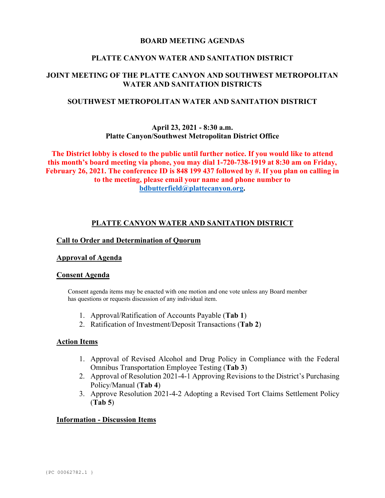### **BOARD MEETING AGENDAS**

### **PLATTE CANYON WATER AND SANITATION DISTRICT**

# **JOINT MEETING OF THE PLATTE CANYON AND SOUTHWEST METROPOLITAN WATER AND SANITATION DISTRICTS**

## **SOUTHWEST METROPOLITAN WATER AND SANITATION DISTRICT**

### **April 23, 2021 - 8:30 a.m. Platte Canyon/Southwest Metropolitan District Office**

**The District lobby is closed to the public until further notice. If you would like to attend this month's board meeting via phone, you may dial 1-720-738-1919 at 8:30 am on Friday, February 26, 2021. The conference ID is 848 199 437 followed by #. If you plan on calling in to the meeting, please email your name and phone number to [bdbutterfield@plattecanyon.org.](mailto:bdbutterfield@plattecanyon.org)**

### **PLATTE CANYON WATER AND SANITATION DISTRICT**

#### **Call to Order and Determination of Quorum**

#### **Approval of Agenda**

#### **Consent Agenda**

Consent agenda items may be enacted with one motion and one vote unless any Board member has questions or requests discussion of any individual item.

- 1. Approval/Ratification of Accounts Payable (**Tab 1**)
- 2. Ratification of Investment/Deposit Transactions (**Tab 2**)

#### **Action Items**

- 1. Approval of Revised Alcohol and Drug Policy in Compliance with the Federal Omnibus Transportation Employee Testing (**Tab 3**)
- 2. Approval of Resolution 2021-4-1 Approving Revisions to the District's Purchasing Policy/Manual (**Tab 4**)
- 3. Approve Resolution 2021-4-2 Adopting a Revised Tort Claims Settlement Policy (**Tab 5**)

#### **Information - Discussion Items**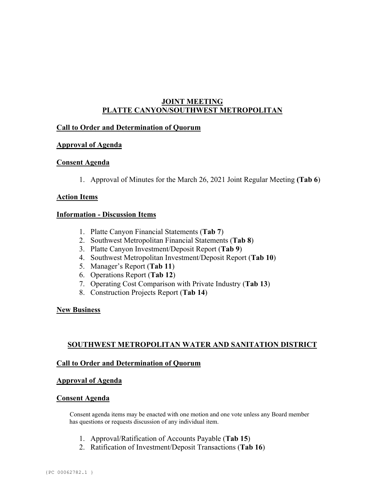# **JOINT MEETING PLATTE CANYON/SOUTHWEST METROPOLITAN**

## **Call to Order and Determination of Quorum**

## **Approval of Agenda**

### **Consent Agenda**

1. Approval of Minutes for the March 26, 2021 Joint Regular Meeting **(Tab 6**)

### **Action Items**

### **Information - Discussion Items**

- 1. Platte Canyon Financial Statements (**Tab 7**)
- 2. Southwest Metropolitan Financial Statements (**Tab 8**)
- 3. Platte Canyon Investment/Deposit Report (**Tab 9**)
- 4. Southwest Metropolitan Investment/Deposit Report (**Tab 10**)
- 5. Manager's Report (**Tab 11**)
- 6. Operations Report (**Tab 12**)
- 7. Operating Cost Comparison with Private Industry (**Tab 13**)
- 8. Construction Projects Report (**Tab 14**)

#### **New Business**

## **SOUTHWEST METROPOLITAN WATER AND SANITATION DISTRICT**

#### **Call to Order and Determination of Quorum**

#### **Approval of Agenda**

#### **Consent Agenda**

 Consent agenda items may be enacted with one motion and one vote unless any Board member has questions or requests discussion of any individual item.

- 1. Approval/Ratification of Accounts Payable (**Tab 15**)
- 2. Ratification of Investment/Deposit Transactions (**Tab 16**)